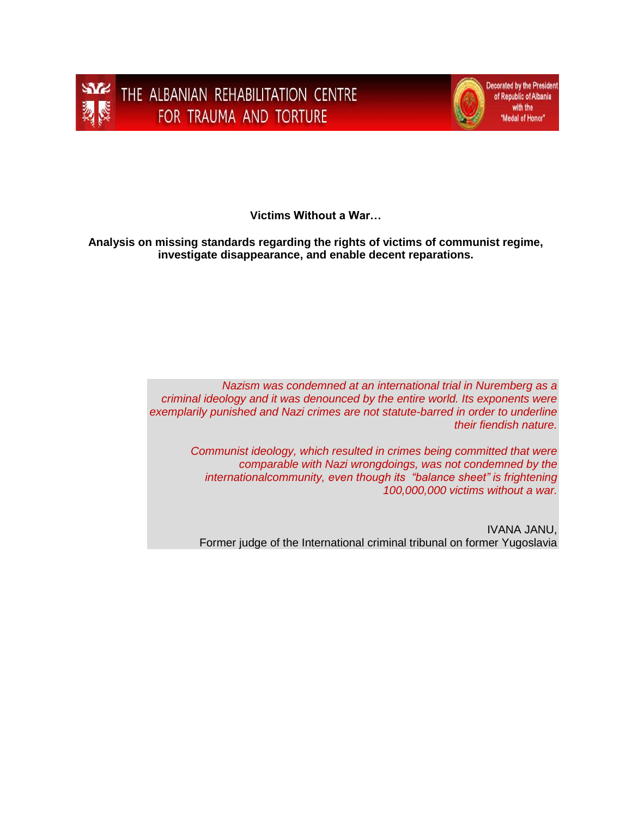



**Victims Without a War…**

**Analysis on missing standards regarding the rights of victims of communist regime, investigate disappearance, and enable decent reparations.**

> *Nazism was condemned at an international trial in Nuremberg as a criminal ideology and it was denounced by the entire world. Its exponents were exemplarily punished and Nazi crimes are not statute-barred in order to underline their fiendish nature.*

*Communist ideology, which resulted in crimes being committed that were comparable with Nazi wrongdoings, was not condemned by the internationalcommunity, even though its "balance sheet" is frightening 100,000,000 victims without a war.*

IVANA JANU, Former judge of the International criminal tribunal on former Yugoslavia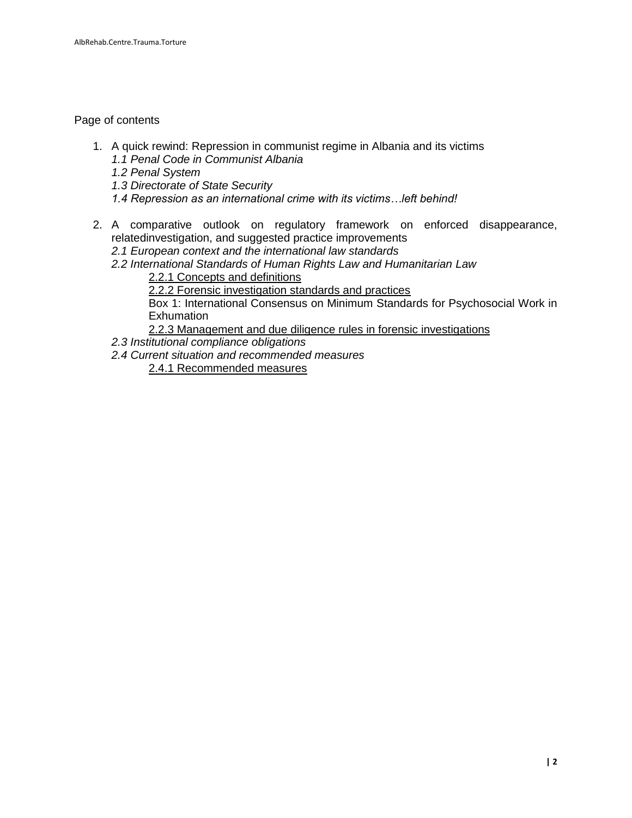Page of contents

- 1. A quick rewind: Repression in communist regime in Albania and its victims *1.1 Penal Code in Communist Albania*
	-
	- *1.2 Penal System*
	- *1.3 Directorate of State Security*
	- *1.4 Repression as an international crime with its victims…left behind!*
- 2. A comparative outlook on regulatory framework on enforced disappearance, relatedinvestigation, and suggested practice improvements
	- *2.1 European context and the international law standards*
	- *2.2 International Standards of Human Rights Law and Humanitarian Law*

2.2.1 Concepts and definitions

2.2.2 Forensic investigation standards and practices

Box 1: International Consensus on Minimum Standards for Psychosocial Work in **Exhumation** 

2.2.3 Management and due diligence rules in forensic investigations

- *2.3 Institutional compliance obligations*
- *2.4 Current situation and recommended measures*

2.4.1 Recommended measures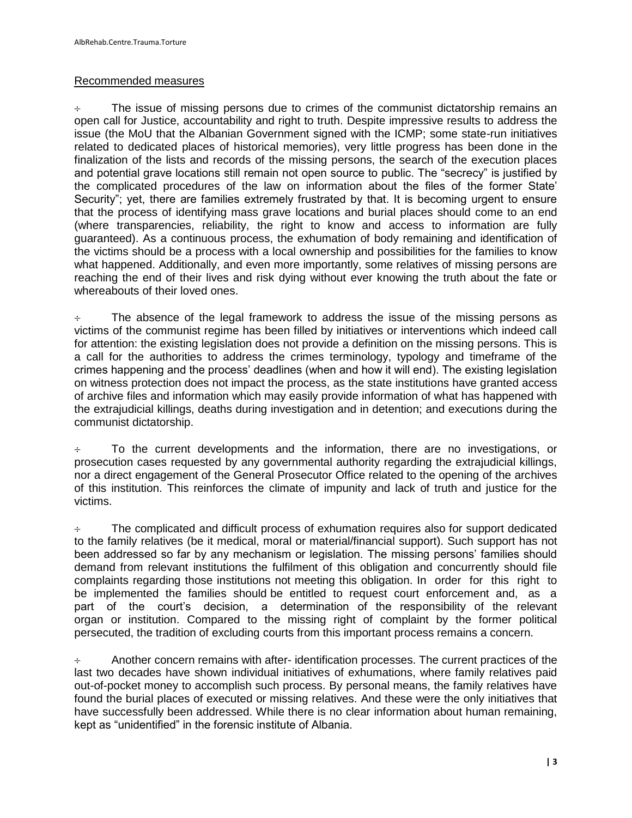### Recommended measures

 $\div$  The issue of missing persons due to crimes of the communist dictatorship remains an open call for Justice, accountability and right to truth. Despite impressive results to address the issue (the MoU that the Albanian Government signed with the ICMP; some state-run initiatives related to dedicated places of historical memories), very little progress has been done in the finalization of the lists and records of the missing persons, the search of the execution places and potential grave locations still remain not open source to public. The "secrecy" is justified by the complicated procedures of the law on information about the files of the former State' Security"; yet, there are families extremely frustrated by that. It is becoming urgent to ensure that the process of identifying mass grave locations and burial places should come to an end (where transparencies, reliability, the right to know and access to information are fully guaranteed). As a continuous process, the exhumation of body remaining and identification of the victims should be a process with a local ownership and possibilities for the families to know what happened. Additionally, and even more importantly, some relatives of missing persons are reaching the end of their lives and risk dying without ever knowing the truth about the fate or whereabouts of their loved ones.

 $\div$  The absence of the legal framework to address the issue of the missing persons as victims of the communist regime has been filled by initiatives or interventions which indeed call for attention: the existing legislation does not provide a definition on the missing persons. This is a call for the authorities to address the crimes terminology, typology and timeframe of the crimes happening and the process' deadlines (when and how it will end). The existing legislation on witness protection does not impact the process, as the state institutions have granted access of archive files and information which may easily provide information of what has happened with the extrajudicial killings, deaths during investigation and in detention; and executions during the communist dictatorship.

 $\div$  To the current developments and the information, there are no investigations, or prosecution cases requested by any governmental authority regarding the extrajudicial killings, nor a direct engagement of the General Prosecutor Office related to the opening of the archives of this institution. This reinforces the climate of impunity and lack of truth and justice for the victims.

 $\div$  The complicated and difficult process of exhumation requires also for support dedicated to the family relatives (be it medical, moral or material/financial support). Such support has not been addressed so far by any mechanism or legislation. The missing persons' families should demand from relevant institutions the fulfilment of this obligation and concurrently should file complaints regarding those institutions not meeting this obligation. In order for this right to be implemented the families should be entitled to request court enforcement and, as a part of the court's decision, a determination of the responsibility of the relevant organ or institution. Compared to the missing right of complaint by the former political persecuted, the tradition of excluding courts from this important process remains a concern.

 $\div$  Another concern remains with after- identification processes. The current practices of the last two decades have shown individual initiatives of exhumations, where family relatives paid out-of-pocket money to accomplish such process. By personal means, the family relatives have found the burial places of executed or missing relatives. And these were the only initiatives that have successfully been addressed. While there is no clear information about human remaining, kept as "unidentified" in the forensic institute of Albania.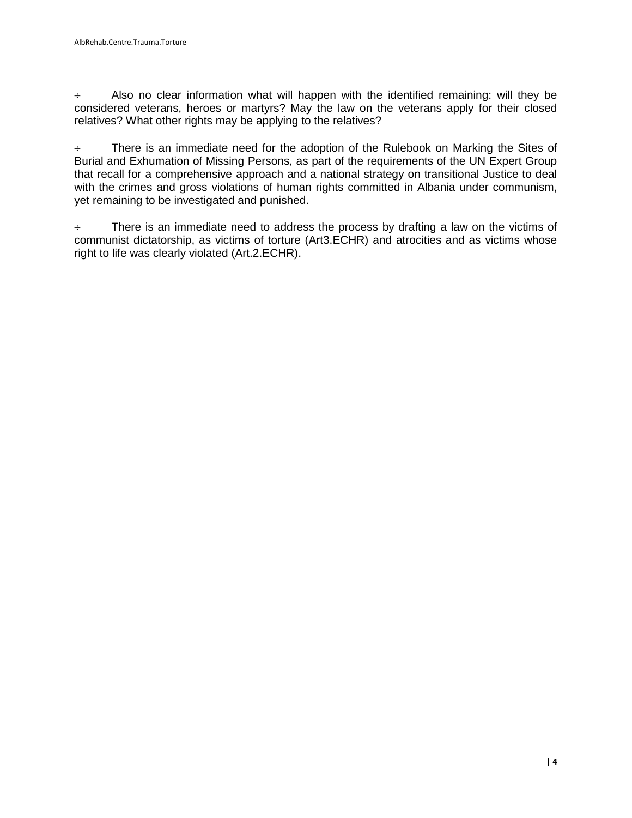$\div$  Also no clear information what will happen with the identified remaining: will they be considered veterans, heroes or martyrs? May the law on the veterans apply for their closed relatives? What other rights may be applying to the relatives?

 $\div$  There is an immediate need for the adoption of the Rulebook on Marking the Sites of Burial and Exhumation of Missing Persons, as part of the requirements of the UN Expert Group that recall for a comprehensive approach and a national strategy on transitional Justice to deal with the crimes and gross violations of human rights committed in Albania under communism, yet remaining to be investigated and punished.

 $\div$  There is an immediate need to address the process by drafting a law on the victims of communist dictatorship, as victims of torture (Art3.ECHR) and atrocities and as victims whose right to life was clearly violated (Art.2.ECHR).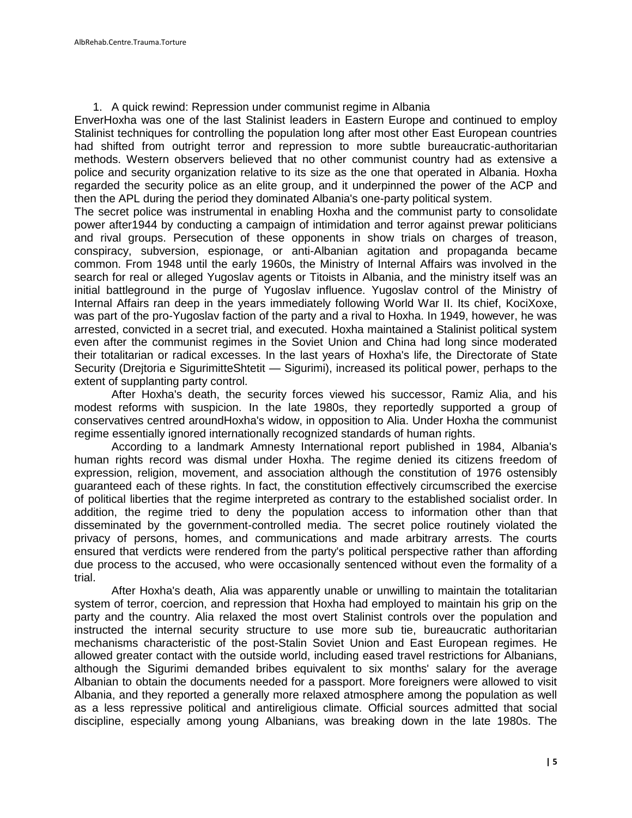## 1. A quick rewind: Repression under communist regime in Albania

EnverHoxha was one of the last Stalinist leaders in Eastern Europe and continued to employ Stalinist techniques for controlling the population long after most other East European countries had shifted from outright terror and repression to more subtle bureaucratic-authoritarian methods. Western observers believed that no other communist country had as extensive a police and security organization relative to its size as the one that operated in Albania. Hoxha regarded the security police as an elite group, and it underpinned the power of the ACP and then the APL during the period they dominated Albania's one-party political system.

The secret police was instrumental in enabling Hoxha and the communist party to consolidate power after1944 by conducting a campaign of intimidation and terror against prewar politicians and rival groups. Persecution of these opponents in show trials on charges of treason, conspiracy, subversion, espionage, or anti-Albanian agitation and propaganda became common. From 1948 until the early 1960s, the Ministry of Internal Affairs was involved in the search for real or alleged Yugoslav agents or Titoists in Albania, and the ministry itself was an initial battleground in the purge of Yugoslav influence. Yugoslav control of the Ministry of Internal Affairs ran deep in the years immediately following World War II. Its chief, KociXoxe, was part of the pro-Yugoslav faction of the party and a rival to Hoxha. In 1949, however, he was arrested, convicted in a secret trial, and executed. Hoxha maintained a Stalinist political system even after the communist regimes in the Soviet Union and China had long since moderated their totalitarian or radical excesses. In the last years of Hoxha's life, the Directorate of State Security (Drejtoria e SigurimitteShtetit — Sigurimi), increased its political power, perhaps to the extent of supplanting party control.

After Hoxha's death, the security forces viewed his successor, Ramiz Alia, and his modest reforms with suspicion. In the late 1980s, they reportedly supported a group of conservatives centred aroundHoxha's widow, in opposition to Alia. Under Hoxha the communist regime essentially ignored internationally recognized standards of human rights.

According to a landmark Amnesty International report published in 1984, Albania's human rights record was dismal under Hoxha. The regime denied its citizens freedom of expression, religion, movement, and association although the constitution of 1976 ostensibly guaranteed each of these rights. In fact, the constitution effectively circumscribed the exercise of political liberties that the regime interpreted as contrary to the established socialist order. In addition, the regime tried to deny the population access to information other than that disseminated by the government-controlled media. The secret police routinely violated the privacy of persons, homes, and communications and made arbitrary arrests. The courts ensured that verdicts were rendered from the party's political perspective rather than affording due process to the accused, who were occasionally sentenced without even the formality of a trial.

After Hoxha's death, Alia was apparently unable or unwilling to maintain the totalitarian system of terror, coercion, and repression that Hoxha had employed to maintain his grip on the party and the country. Alia relaxed the most overt Stalinist controls over the population and instructed the internal security structure to use more sub tie, bureaucratic authoritarian mechanisms characteristic of the post-Stalin Soviet Union and East European regimes. He allowed greater contact with the outside world, including eased travel restrictions for Albanians, although the Sigurimi demanded bribes equivalent to six months' salary for the average Albanian to obtain the documents needed for a passport. More foreigners were allowed to visit Albania, and they reported a generally more relaxed atmosphere among the population as well as a less repressive political and antireligious climate. Official sources admitted that social discipline, especially among young Albanians, was breaking down in the late 1980s. The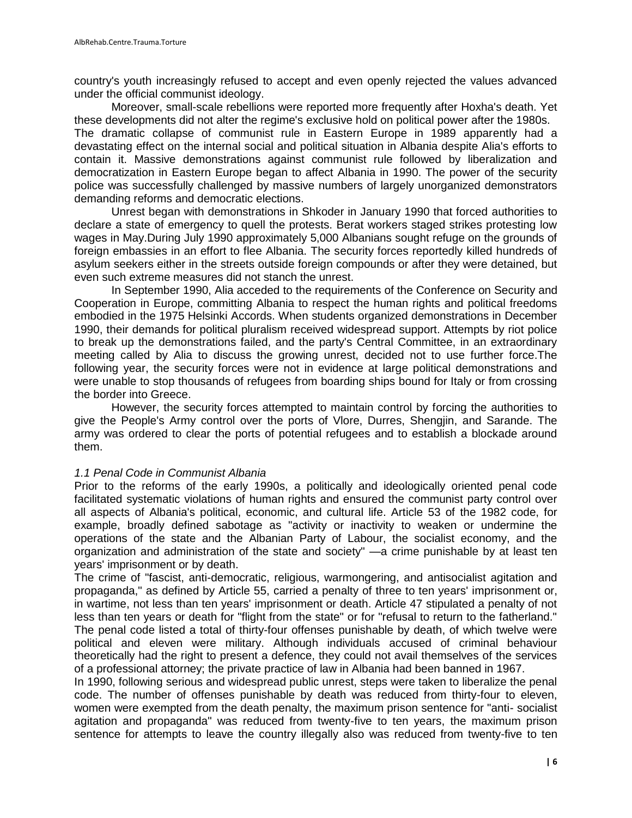country's youth increasingly refused to accept and even openly rejected the values advanced under the official communist ideology.

Moreover, small-scale rebellions were reported more frequently after Hoxha's death. Yet these developments did not alter the regime's exclusive hold on political power after the 1980s. The dramatic collapse of communist rule in Eastern Europe in 1989 apparently had a devastating effect on the internal social and political situation in Albania despite Alia's efforts to contain it. Massive demonstrations against communist rule followed by liberalization and democratization in Eastern Europe began to affect Albania in 1990. The power of the security police was successfully challenged by massive numbers of largely unorganized demonstrators demanding reforms and democratic elections.

Unrest began with demonstrations in Shkoder in January 1990 that forced authorities to declare a state of emergency to quell the protests. Berat workers staged strikes protesting low wages in May.During July 1990 approximately 5,000 Albanians sought refuge on the grounds of foreign embassies in an effort to flee Albania. The security forces reportedly killed hundreds of asylum seekers either in the streets outside foreign compounds or after they were detained, but even such extreme measures did not stanch the unrest.

In September 1990, Alia acceded to the requirements of the Conference on Security and Cooperation in Europe, committing Albania to respect the human rights and political freedoms embodied in the 1975 Helsinki Accords. When students organized demonstrations in December 1990, their demands for political pluralism received widespread support. Attempts by riot police to break up the demonstrations failed, and the party's Central Committee, in an extraordinary meeting called by Alia to discuss the growing unrest, decided not to use further force.The following year, the security forces were not in evidence at large political demonstrations and were unable to stop thousands of refugees from boarding ships bound for Italy or from crossing the border into Greece.

However, the security forces attempted to maintain control by forcing the authorities to give the People's Army control over the ports of Vlore, Durres, Shengjin, and Sarande. The army was ordered to clear the ports of potential refugees and to establish a blockade around them.

### *1.1 Penal Code in Communist Albania*

Prior to the reforms of the early 1990s, a politically and ideologically oriented penal code facilitated systematic violations of human rights and ensured the communist party control over all aspects of Albania's political, economic, and cultural life. Article 53 of the 1982 code, for example, broadly defined sabotage as "activity or inactivity to weaken or undermine the operations of the state and the Albanian Party of Labour, the socialist economy, and the organization and administration of the state and society" —a crime punishable by at least ten years' imprisonment or by death.

The crime of "fascist, anti-democratic, religious, warmongering, and antisocialist agitation and propaganda," as defined by Article 55, carried a penalty of three to ten years' imprisonment or, in wartime, not less than ten years' imprisonment or death. Article 47 stipulated a penalty of not less than ten years or death for "flight from the state" or for "refusal to return to the fatherland." The penal code listed a total of thirty-four offenses punishable by death, of which twelve were political and eleven were military. Although individuals accused of criminal behaviour theoretically had the right to present a defence, they could not avail themselves of the services of a professional attorney; the private practice of law in Albania had been banned in 1967.

In 1990, following serious and widespread public unrest, steps were taken to liberalize the penal code. The number of offenses punishable by death was reduced from thirty-four to eleven, women were exempted from the death penalty, the maximum prison sentence for "anti- socialist agitation and propaganda" was reduced from twenty-five to ten years, the maximum prison sentence for attempts to leave the country illegally also was reduced from twenty-five to ten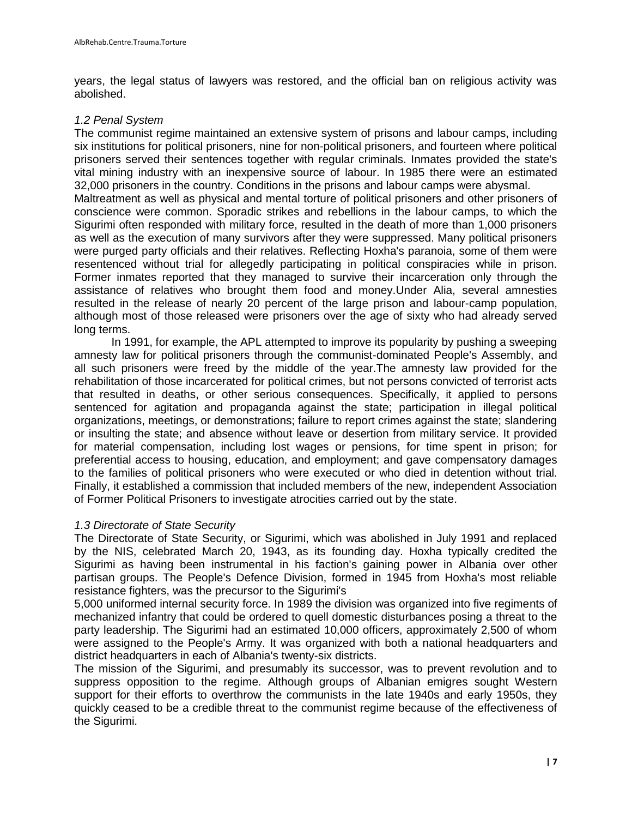years, the legal status of lawyers was restored, and the official ban on religious activity was abolished.

### *1.2 Penal System*

The communist regime maintained an extensive system of prisons and labour camps, including six institutions for political prisoners, nine for non-political prisoners, and fourteen where political prisoners served their sentences together with regular criminals. Inmates provided the state's vital mining industry with an inexpensive source of labour. In 1985 there were an estimated 32,000 prisoners in the country. Conditions in the prisons and labour camps were abysmal. Maltreatment as well as physical and mental torture of political prisoners and other prisoners of conscience were common. Sporadic strikes and rebellions in the labour camps, to which the Sigurimi often responded with military force, resulted in the death of more than 1,000 prisoners as well as the execution of many survivors after they were suppressed. Many political prisoners were purged party officials and their relatives. Reflecting Hoxha's paranoia, some of them were resentenced without trial for allegedly participating in political conspiracies while in prison. Former inmates reported that they managed to survive their incarceration only through the assistance of relatives who brought them food and money.Under Alia, several amnesties

resulted in the release of nearly 20 percent of the large prison and labour-camp population, although most of those released were prisoners over the age of sixty who had already served long terms.

In 1991, for example, the APL attempted to improve its popularity by pushing a sweeping amnesty law for political prisoners through the communist-dominated People's Assembly, and all such prisoners were freed by the middle of the year.The amnesty law provided for the rehabilitation of those incarcerated for political crimes, but not persons convicted of terrorist acts that resulted in deaths, or other serious consequences. Specifically, it applied to persons sentenced for agitation and propaganda against the state; participation in illegal political organizations, meetings, or demonstrations; failure to report crimes against the state; slandering or insulting the state; and absence without leave or desertion from military service. It provided for material compensation, including lost wages or pensions, for time spent in prison; for preferential access to housing, education, and employment; and gave compensatory damages to the families of political prisoners who were executed or who died in detention without trial. Finally, it established a commission that included members of the new, independent Association of Former Political Prisoners to investigate atrocities carried out by the state.

# *1.3 Directorate of State Security*

The Directorate of State Security, or Sigurimi, which was abolished in July 1991 and replaced by the NIS, celebrated March 20, 1943, as its founding day. Hoxha typically credited the Sigurimi as having been instrumental in his faction's gaining power in Albania over other partisan groups. The People's Defence Division, formed in 1945 from Hoxha's most reliable resistance fighters, was the precursor to the Sigurimi's

5,000 uniformed internal security force. In 1989 the division was organized into five regiments of mechanized infantry that could be ordered to quell domestic disturbances posing a threat to the party leadership. The Sigurimi had an estimated 10,000 officers, approximately 2,500 of whom were assigned to the People's Army. It was organized with both a national headquarters and district headquarters in each of Albania's twenty-six districts.

The mission of the Sigurimi, and presumably its successor, was to prevent revolution and to suppress opposition to the regime. Although groups of Albanian emigres sought Western support for their efforts to overthrow the communists in the late 1940s and early 1950s, they quickly ceased to be a credible threat to the communist regime because of the effectiveness of the Sigurimi.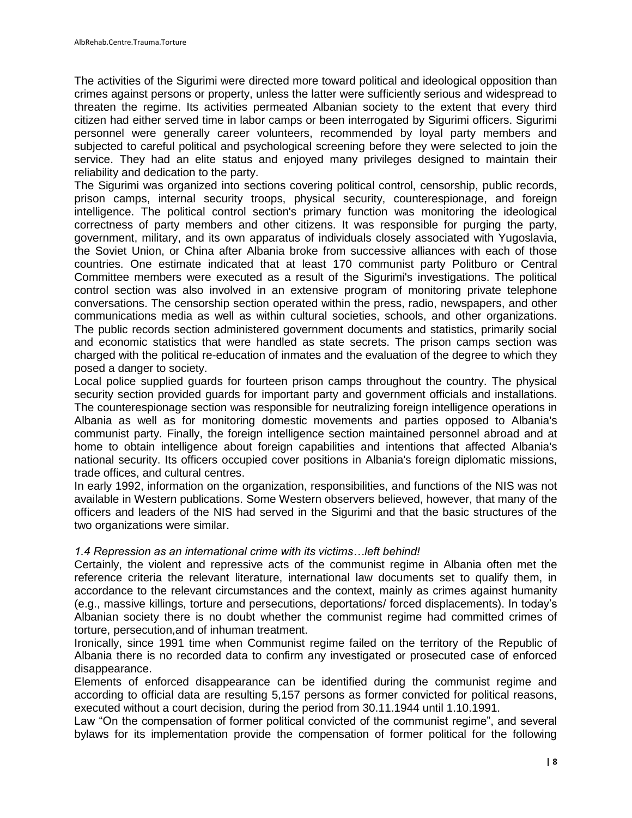The activities of the Sigurimi were directed more toward political and ideological opposition than crimes against persons or property, unless the latter were sufficiently serious and widespread to threaten the regime. Its activities permeated Albanian society to the extent that every third citizen had either served time in labor camps or been interrogated by Sigurimi officers. Sigurimi personnel were generally career volunteers, recommended by loyal party members and subjected to careful political and psychological screening before they were selected to join the service. They had an elite status and enjoyed many privileges designed to maintain their reliability and dedication to the party.

The Sigurimi was organized into sections covering political control, censorship, public records, prison camps, internal security troops, physical security, counterespionage, and foreign intelligence. The political control section's primary function was monitoring the ideological correctness of party members and other citizens. It was responsible for purging the party, government, military, and its own apparatus of individuals closely associated with Yugoslavia, the Soviet Union, or China after Albania broke from successive alliances with each of those countries. One estimate indicated that at least 170 communist party Politburo or Central Committee members were executed as a result of the Sigurimi's investigations. The political control section was also involved in an extensive program of monitoring private telephone conversations. The censorship section operated within the press, radio, newspapers, and other communications media as well as within cultural societies, schools, and other organizations. The public records section administered government documents and statistics, primarily social and economic statistics that were handled as state secrets. The prison camps section was charged with the political re-education of inmates and the evaluation of the degree to which they posed a danger to society.

Local police supplied guards for fourteen prison camps throughout the country. The physical security section provided guards for important party and government officials and installations. The counterespionage section was responsible for neutralizing foreign intelligence operations in Albania as well as for monitoring domestic movements and parties opposed to Albania's communist party. Finally, the foreign intelligence section maintained personnel abroad and at home to obtain intelligence about foreign capabilities and intentions that affected Albania's national security. Its officers occupied cover positions in Albania's foreign diplomatic missions, trade offices, and cultural centres.

In early 1992, information on the organization, responsibilities, and functions of the NIS was not available in Western publications. Some Western observers believed, however, that many of the officers and leaders of the NIS had served in the Sigurimi and that the basic structures of the two organizations were similar.

### *1.4 Repression as an international crime with its victims…left behind!*

Certainly, the violent and repressive acts of the communist regime in Albania often met the reference criteria the relevant literature, international law documents set to qualify them, in accordance to the relevant circumstances and the context, mainly as crimes against humanity (e.g., massive killings, torture and persecutions, deportations/ forced displacements). In today's Albanian society there is no doubt whether the communist regime had committed crimes of torture, persecution,and of inhuman treatment.

Ironically, since 1991 time when Communist regime failed on the territory of the Republic of Albania there is no recorded data to confirm any investigated or prosecuted case of enforced disappearance.

Elements of enforced disappearance can be identified during the communist regime and according to official data are resulting 5,157 persons as former convicted for political reasons, executed without a court decision, during the period from 30.11.1944 until 1.10.1991.

Law "On the compensation of former political convicted of the communist regime", and several bylaws for its implementation provide the compensation of former political for the following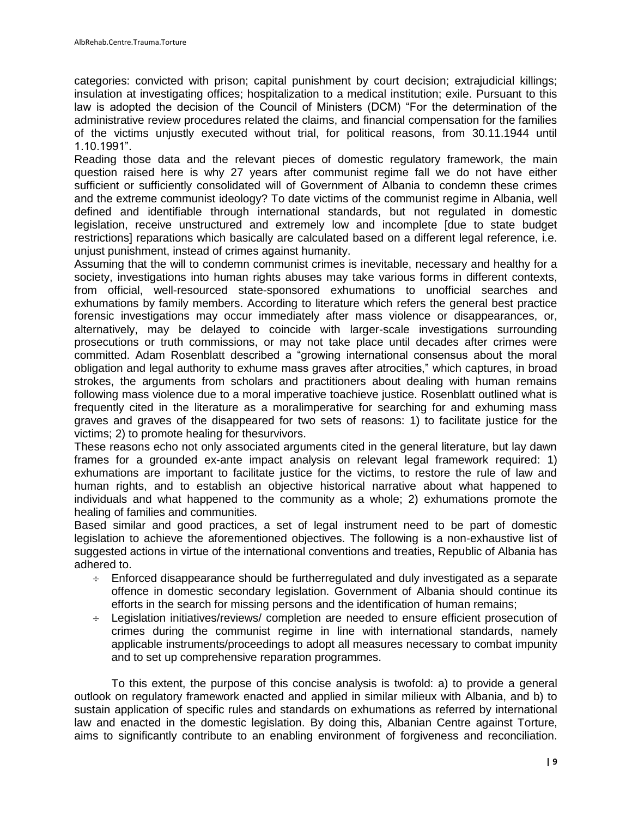categories: convicted with prison; capital punishment by court decision; extrajudicial killings; insulation at investigating offices; hospitalization to a medical institution; exile. Pursuant to this law is adopted the decision of the Council of Ministers (DCM) "For the determination of the administrative review procedures related the claims, and financial compensation for the families of the victims unjustly executed without trial, for political reasons, from 30.11.1944 until 1.10.1991".

Reading those data and the relevant pieces of domestic regulatory framework, the main question raised here is why 27 years after communist regime fall we do not have either sufficient or sufficiently consolidated will of Government of Albania to condemn these crimes and the extreme communist ideology? To date victims of the communist regime in Albania, well defined and identifiable through international standards, but not regulated in domestic legislation, receive unstructured and extremely low and incomplete [due to state budget restrictions] reparations which basically are calculated based on a different legal reference, i.e. unjust punishment, instead of crimes against humanity.

Assuming that the will to condemn communist crimes is inevitable, necessary and healthy for a society, investigations into human rights abuses may take various forms in different contexts, from official, well-resourced state-sponsored exhumations to unofficial searches and exhumations by family members. According to literature which refers the general best practice forensic investigations may occur immediately after mass violence or disappearances, or, alternatively, may be delayed to coincide with larger-scale investigations surrounding prosecutions or truth commissions, or may not take place until decades after crimes were committed. Adam Rosenblatt described a "growing international consensus about the moral obligation and legal authority to exhume mass graves after atrocities," which captures, in broad strokes, the arguments from scholars and practitioners about dealing with human remains following mass violence due to a moral imperative toachieve justice. Rosenblatt outlined what is frequently cited in the literature as a moralimperative for searching for and exhuming mass graves and graves of the disappeared for two sets of reasons: 1) to facilitate justice for the victims; 2) to promote healing for thesurvivors.

These reasons echo not only associated arguments cited in the general literature, but lay dawn frames for a grounded ex-ante impact analysis on relevant legal framework required: 1) exhumations are important to facilitate justice for the victims, to restore the rule of law and human rights, and to establish an objective historical narrative about what happened to individuals and what happened to the community as a whole; 2) exhumations promote the healing of families and communities.

Based similar and good practices, a set of legal instrument need to be part of domestic legislation to achieve the aforementioned objectives. The following is a non-exhaustive list of suggested actions in virtue of the international conventions and treaties, Republic of Albania has adhered to.

- $\div$  Enforced disappearance should be furtherregulated and duly investigated as a separate offence in domestic secondary legislation. Government of Albania should continue its efforts in the search for missing persons and the identification of human remains;
- $\div$  Legislation initiatives/reviews/ completion are needed to ensure efficient prosecution of crimes during the communist regime in line with international standards, namely applicable instruments/proceedings to adopt all measures necessary to combat impunity and to set up comprehensive reparation programmes.

To this extent, the purpose of this concise analysis is twofold: a) to provide a general outlook on regulatory framework enacted and applied in similar milieux with Albania, and b) to sustain application of specific rules and standards on exhumations as referred by international law and enacted in the domestic legislation. By doing this, Albanian Centre against Torture, aims to significantly contribute to an enabling environment of forgiveness and reconciliation.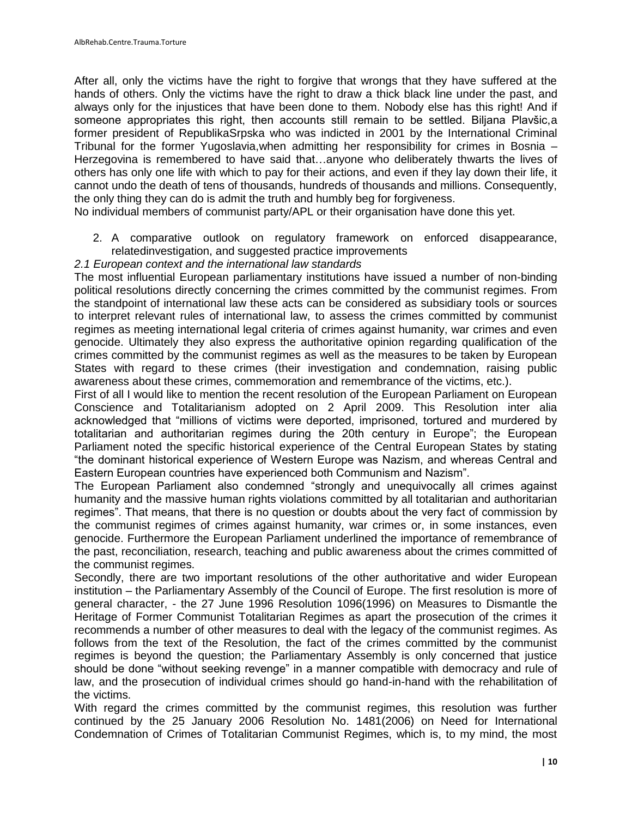After all, only the victims have the right to forgive that wrongs that they have suffered at the hands of others. Only the victims have the right to draw a thick black line under the past, and always only for the injustices that have been done to them. Nobody else has this right! And if someone appropriates this right, then accounts still remain to be settled. Biljana Plavšic,a former president of RepublikaSrpska who was indicted in 2001 by the International Criminal Tribunal for the former Yugoslavia,when admitting her responsibility for crimes in Bosnia – Herzegovina is remembered to have said that…anyone who deliberately thwarts the lives of others has only one life with which to pay for their actions, and even if they lay down their life, it cannot undo the death of tens of thousands, hundreds of thousands and millions. Consequently, the only thing they can do is admit the truth and humbly beg for forgiveness.

No individual members of communist party/APL or their organisation have done this yet.

2. A comparative outlook on regulatory framework on enforced disappearance, relatedinvestigation, and suggested practice improvements

### *2.1 European context and the international law standards*

The most influential European parliamentary institutions have issued a number of non-binding political resolutions directly concerning the crimes committed by the communist regimes. From the standpoint of international law these acts can be considered as subsidiary tools or sources to interpret relevant rules of international law, to assess the crimes committed by communist regimes as meeting international legal criteria of crimes against humanity, war crimes and even genocide. Ultimately they also express the authoritative opinion regarding qualification of the crimes committed by the communist regimes as well as the measures to be taken by European States with regard to these crimes (their investigation and condemnation, raising public awareness about these crimes, commemoration and remembrance of the victims, etc.).

First of all I would like to mention the recent resolution of the European Parliament on European Conscience and Totalitarianism adopted on 2 April 2009. This Resolution inter alia acknowledged that "millions of victims were deported, imprisoned, tortured and murdered by totalitarian and authoritarian regimes during the 20th century in Europe"; the European Parliament noted the specific historical experience of the Central European States by stating "the dominant historical experience of Western Europe was Nazism, and whereas Central and Eastern European countries have experienced both Communism and Nazism".

The European Parliament also condemned "strongly and unequivocally all crimes against humanity and the massive human rights violations committed by all totalitarian and authoritarian regimes". That means, that there is no question or doubts about the very fact of commission by the communist regimes of crimes against humanity, war crimes or, in some instances, even genocide. Furthermore the European Parliament underlined the importance of remembrance of the past, reconciliation, research, teaching and public awareness about the crimes committed of the communist regimes.

Secondly, there are two important resolutions of the other authoritative and wider European institution – the Parliamentary Assembly of the Council of Europe. The first resolution is more of general character, - the 27 June 1996 Resolution 1096(1996) on Measures to Dismantle the Heritage of Former Communist Totalitarian Regimes as apart the prosecution of the crimes it recommends a number of other measures to deal with the legacy of the communist regimes. As follows from the text of the Resolution, the fact of the crimes committed by the communist regimes is beyond the question; the Parliamentary Assembly is only concerned that justice should be done "without seeking revenge" in a manner compatible with democracy and rule of law, and the prosecution of individual crimes should go hand-in-hand with the rehabilitation of the victims.

With regard the crimes committed by the communist regimes, this resolution was further continued by the 25 January 2006 Resolution No. 1481(2006) on Need for International Condemnation of Crimes of Totalitarian Communist Regimes, which is, to my mind, the most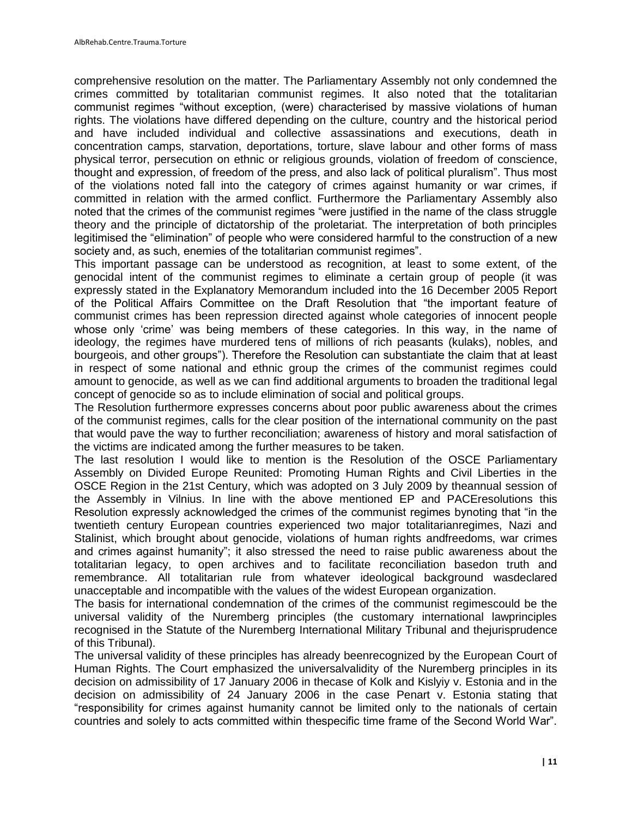comprehensive resolution on the matter. The Parliamentary Assembly not only condemned the crimes committed by totalitarian communist regimes. It also noted that the totalitarian communist regimes "without exception, (were) characterised by massive violations of human rights. The violations have differed depending on the culture, country and the historical period and have included individual and collective assassinations and executions, death in concentration camps, starvation, deportations, torture, slave labour and other forms of mass physical terror, persecution on ethnic or religious grounds, violation of freedom of conscience, thought and expression, of freedom of the press, and also lack of political pluralism". Thus most of the violations noted fall into the category of crimes against humanity or war crimes, if committed in relation with the armed conflict. Furthermore the Parliamentary Assembly also noted that the crimes of the communist regimes "were justified in the name of the class struggle theory and the principle of dictatorship of the proletariat. The interpretation of both principles legitimised the "elimination" of people who were considered harmful to the construction of a new society and, as such, enemies of the totalitarian communist regimes".

This important passage can be understood as recognition, at least to some extent, of the genocidal intent of the communist regimes to eliminate a certain group of people (it was expressly stated in the Explanatory Memorandum included into the 16 December 2005 Report of the Political Affairs Committee on the Draft Resolution that "the important feature of communist crimes has been repression directed against whole categories of innocent people whose only 'crime' was being members of these categories. In this way, in the name of ideology, the regimes have murdered tens of millions of rich peasants (kulaks), nobles, and bourgeois, and other groups"). Therefore the Resolution can substantiate the claim that at least in respect of some national and ethnic group the crimes of the communist regimes could amount to genocide, as well as we can find additional arguments to broaden the traditional legal concept of genocide so as to include elimination of social and political groups.

The Resolution furthermore expresses concerns about poor public awareness about the crimes of the communist regimes, calls for the clear position of the international community on the past that would pave the way to further reconciliation; awareness of history and moral satisfaction of the victims are indicated among the further measures to be taken.

The last resolution I would like to mention is the Resolution of the OSCE Parliamentary Assembly on Divided Europe Reunited: Promoting Human Rights and Civil Liberties in the OSCE Region in the 21st Century, which was adopted on 3 July 2009 by theannual session of the Assembly in Vilnius. In line with the above mentioned EP and PACEresolutions this Resolution expressly acknowledged the crimes of the communist regimes bynoting that "in the twentieth century European countries experienced two major totalitarianregimes, Nazi and Stalinist, which brought about genocide, violations of human rights andfreedoms, war crimes and crimes against humanity"; it also stressed the need to raise public awareness about the totalitarian legacy, to open archives and to facilitate reconciliation basedon truth and remembrance. All totalitarian rule from whatever ideological background wasdeclared unacceptable and incompatible with the values of the widest European organization.

The basis for international condemnation of the crimes of the communist regimescould be the universal validity of the Nuremberg principles (the customary international lawprinciples recognised in the Statute of the Nuremberg International Military Tribunal and thejurisprudence of this Tribunal).

The universal validity of these principles has already beenrecognized by the European Court of Human Rights. The Court emphasized the universalvalidity of the Nuremberg principles in its decision on admissibility of 17 January 2006 in thecase of Kolk and Kislyiy v. Estonia and in the decision on admissibility of 24 January 2006 in the case Penart v. Estonia stating that "responsibility for crimes against humanity cannot be limited only to the nationals of certain countries and solely to acts committed within thespecific time frame of the Second World War".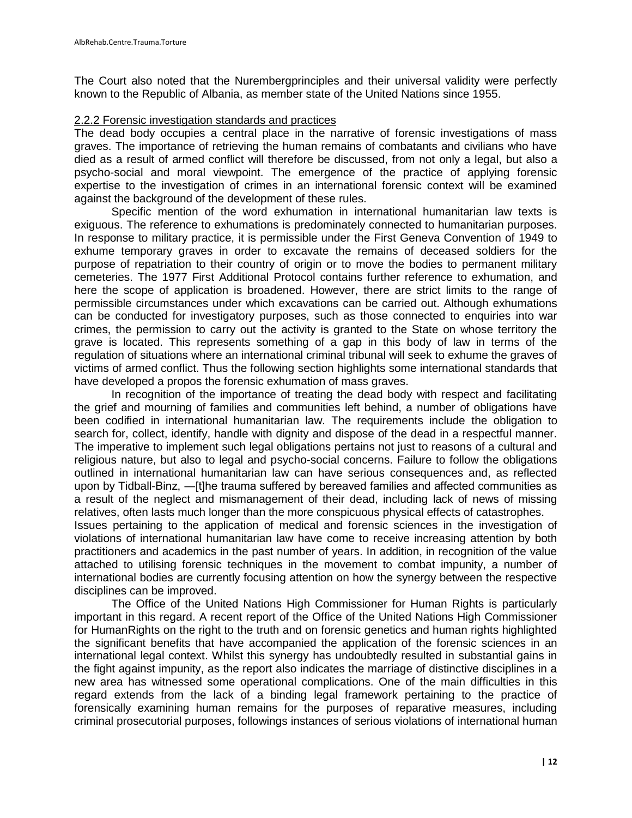The Court also noted that the Nurembergprinciples and their universal validity were perfectly known to the Republic of Albania, as member state of the United Nations since 1955.

### 2.2.2 Forensic investigation standards and practices

The dead body occupies a central place in the narrative of forensic investigations of mass graves. The importance of retrieving the human remains of combatants and civilians who have died as a result of armed conflict will therefore be discussed, from not only a legal, but also a psycho-social and moral viewpoint. The emergence of the practice of applying forensic expertise to the investigation of crimes in an international forensic context will be examined against the background of the development of these rules.

Specific mention of the word exhumation in international humanitarian law texts is exiguous. The reference to exhumations is predominately connected to humanitarian purposes. In response to military practice, it is permissible under the First Geneva Convention of 1949 to exhume temporary graves in order to excavate the remains of deceased soldiers for the purpose of repatriation to their country of origin or to move the bodies to permanent military cemeteries. The 1977 First Additional Protocol contains further reference to exhumation, and here the scope of application is broadened. However, there are strict limits to the range of permissible circumstances under which excavations can be carried out. Although exhumations can be conducted for investigatory purposes, such as those connected to enquiries into war crimes, the permission to carry out the activity is granted to the State on whose territory the grave is located. This represents something of a gap in this body of law in terms of the regulation of situations where an international criminal tribunal will seek to exhume the graves of victims of armed conflict. Thus the following section highlights some international standards that have developed a propos the forensic exhumation of mass graves.

In recognition of the importance of treating the dead body with respect and facilitating the grief and mourning of families and communities left behind, a number of obligations have been codified in international humanitarian law. The requirements include the obligation to search for, collect, identify, handle with dignity and dispose of the dead in a respectful manner. The imperative to implement such legal obligations pertains not just to reasons of a cultural and religious nature, but also to legal and psycho-social concerns. Failure to follow the obligations outlined in international humanitarian law can have serious consequences and, as reflected upon by Tidball-Binz, ―[t]he trauma suffered by bereaved families and affected communities as a result of the neglect and mismanagement of their dead, including lack of news of missing relatives, often lasts much longer than the more conspicuous physical effects of catastrophes. Issues pertaining to the application of medical and forensic sciences in the investigation of

violations of international humanitarian law have come to receive increasing attention by both practitioners and academics in the past number of years. In addition, in recognition of the value attached to utilising forensic techniques in the movement to combat impunity, a number of international bodies are currently focusing attention on how the synergy between the respective disciplines can be improved.

The Office of the United Nations High Commissioner for Human Rights is particularly important in this regard. A recent report of the Office of the United Nations High Commissioner for HumanRights on the right to the truth and on forensic genetics and human rights highlighted the significant benefits that have accompanied the application of the forensic sciences in an international legal context. Whilst this synergy has undoubtedly resulted in substantial gains in the fight against impunity, as the report also indicates the marriage of distinctive disciplines in a new area has witnessed some operational complications. One of the main difficulties in this regard extends from the lack of a binding legal framework pertaining to the practice of forensically examining human remains for the purposes of reparative measures, including criminal prosecutorial purposes, followings instances of serious violations of international human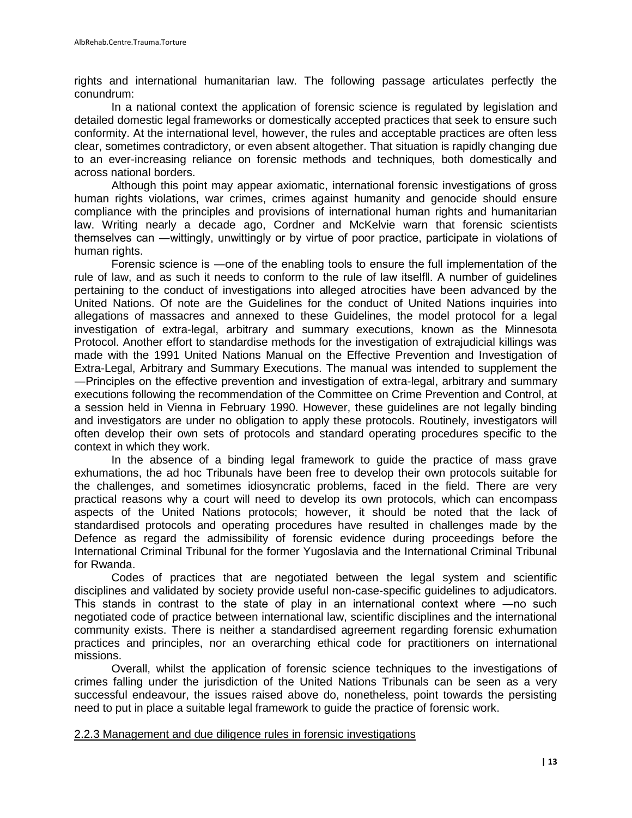rights and international humanitarian law. The following passage articulates perfectly the conundrum:

In a national context the application of forensic science is regulated by legislation and detailed domestic legal frameworks or domestically accepted practices that seek to ensure such conformity. At the international level, however, the rules and acceptable practices are often less clear, sometimes contradictory, or even absent altogether. That situation is rapidly changing due to an ever-increasing reliance on forensic methods and techniques, both domestically and across national borders.

Although this point may appear axiomatic, international forensic investigations of gross human rights violations, war crimes, crimes against humanity and genocide should ensure compliance with the principles and provisions of international human rights and humanitarian law. Writing nearly a decade ago, Cordner and McKelvie warn that forensic scientists themselves can ―wittingly, unwittingly or by virtue of poor practice, participate in violations of human rights.

Forensic science is ―one of the enabling tools to ensure the full implementation of the rule of law, and as such it needs to conform to the rule of law itself‖. A number of guidelines pertaining to the conduct of investigations into alleged atrocities have been advanced by the United Nations. Of note are the Guidelines for the conduct of United Nations inquiries into allegations of massacres and annexed to these Guidelines, the model protocol for a legal investigation of extra-legal, arbitrary and summary executions, known as the Minnesota Protocol. Another effort to standardise methods for the investigation of extrajudicial killings was made with the 1991 United Nations Manual on the Effective Prevention and Investigation of Extra-Legal, Arbitrary and Summary Executions. The manual was intended to supplement the ―Principles on the effective prevention and investigation of extra-legal, arbitrary and summary executions following the recommendation of the Committee on Crime Prevention and Control, at a session held in Vienna in February 1990. However, these guidelines are not legally binding and investigators are under no obligation to apply these protocols. Routinely, investigators will often develop their own sets of protocols and standard operating procedures specific to the context in which they work.

In the absence of a binding legal framework to guide the practice of mass grave exhumations, the ad hoc Tribunals have been free to develop their own protocols suitable for the challenges, and sometimes idiosyncratic problems, faced in the field. There are very practical reasons why a court will need to develop its own protocols, which can encompass aspects of the United Nations protocols; however, it should be noted that the lack of standardised protocols and operating procedures have resulted in challenges made by the Defence as regard the admissibility of forensic evidence during proceedings before the International Criminal Tribunal for the former Yugoslavia and the International Criminal Tribunal for Rwanda.

Codes of practices that are negotiated between the legal system and scientific disciplines and validated by society provide useful non-case-specific guidelines to adjudicators. This stands in contrast to the state of play in an international context where ―no such negotiated code of practice between international law, scientific disciplines and the international community exists. There is neither a standardised agreement regarding forensic exhumation practices and principles, nor an overarching ethical code for practitioners on international missions.

Overall, whilst the application of forensic science techniques to the investigations of crimes falling under the jurisdiction of the United Nations Tribunals can be seen as a very successful endeavour, the issues raised above do, nonetheless, point towards the persisting need to put in place a suitable legal framework to guide the practice of forensic work.

#### 2.2.3 Management and due diligence rules in forensic investigations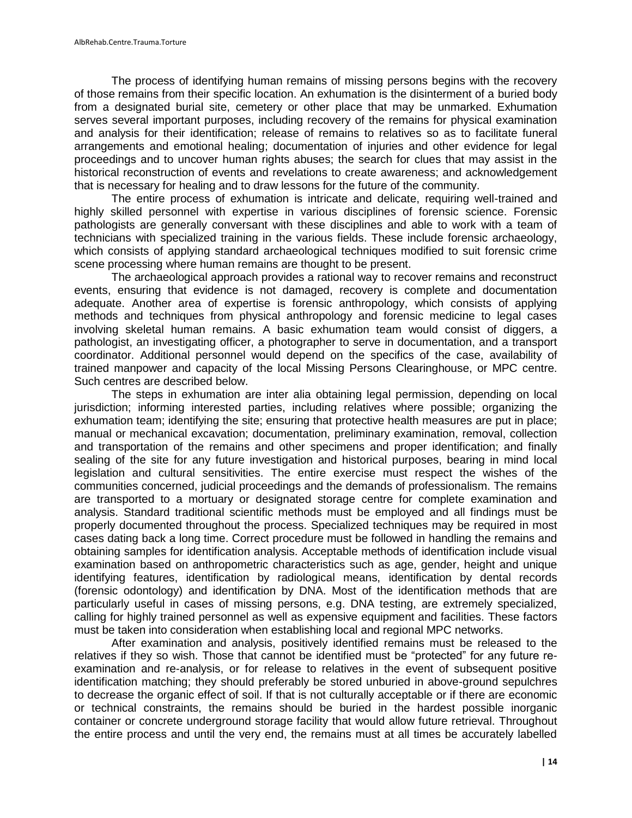The process of identifying human remains of missing persons begins with the recovery of those remains from their specific location. An exhumation is the disinterment of a buried body from a designated burial site, cemetery or other place that may be unmarked. Exhumation serves several important purposes, including recovery of the remains for physical examination and analysis for their identification; release of remains to relatives so as to facilitate funeral arrangements and emotional healing; documentation of injuries and other evidence for legal proceedings and to uncover human rights abuses; the search for clues that may assist in the historical reconstruction of events and revelations to create awareness; and acknowledgement that is necessary for healing and to draw lessons for the future of the community.

The entire process of exhumation is intricate and delicate, requiring well-trained and highly skilled personnel with expertise in various disciplines of forensic science. Forensic pathologists are generally conversant with these disciplines and able to work with a team of technicians with specialized training in the various fields. These include forensic archaeology, which consists of applying standard archaeological techniques modified to suit forensic crime scene processing where human remains are thought to be present.

The archaeological approach provides a rational way to recover remains and reconstruct events, ensuring that evidence is not damaged, recovery is complete and documentation adequate. Another area of expertise is forensic anthropology, which consists of applying methods and techniques from physical anthropology and forensic medicine to legal cases involving skeletal human remains. A basic exhumation team would consist of diggers, a pathologist, an investigating officer, a photographer to serve in documentation, and a transport coordinator. Additional personnel would depend on the specifics of the case, availability of trained manpower and capacity of the local Missing Persons Clearinghouse, or MPC centre. Such centres are described below.

The steps in exhumation are inter alia obtaining legal permission, depending on local jurisdiction; informing interested parties, including relatives where possible; organizing the exhumation team; identifying the site; ensuring that protective health measures are put in place; manual or mechanical excavation; documentation, preliminary examination, removal, collection and transportation of the remains and other specimens and proper identification; and finally sealing of the site for any future investigation and historical purposes, bearing in mind local legislation and cultural sensitivities. The entire exercise must respect the wishes of the communities concerned, judicial proceedings and the demands of professionalism. The remains are transported to a mortuary or designated storage centre for complete examination and analysis. Standard traditional scientific methods must be employed and all findings must be properly documented throughout the process. Specialized techniques may be required in most cases dating back a long time. Correct procedure must be followed in handling the remains and obtaining samples for identification analysis. Acceptable methods of identification include visual examination based on anthropometric characteristics such as age, gender, height and unique identifying features, identification by radiological means, identification by dental records (forensic odontology) and identification by DNA. Most of the identification methods that are particularly useful in cases of missing persons, e.g. DNA testing, are extremely specialized, calling for highly trained personnel as well as expensive equipment and facilities. These factors must be taken into consideration when establishing local and regional MPC networks.

After examination and analysis, positively identified remains must be released to the relatives if they so wish. Those that cannot be identified must be "protected" for any future reexamination and re-analysis, or for release to relatives in the event of subsequent positive identification matching; they should preferably be stored unburied in above-ground sepulchres to decrease the organic effect of soil. If that is not culturally acceptable or if there are economic or technical constraints, the remains should be buried in the hardest possible inorganic container or concrete underground storage facility that would allow future retrieval. Throughout the entire process and until the very end, the remains must at all times be accurately labelled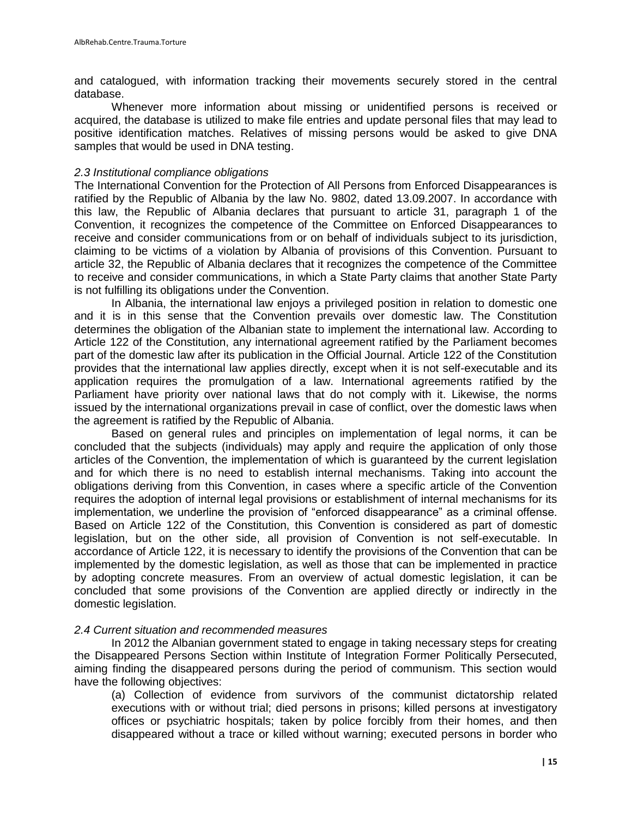and catalogued, with information tracking their movements securely stored in the central database.

Whenever more information about missing or unidentified persons is received or acquired, the database is utilized to make file entries and update personal files that may lead to positive identification matches. Relatives of missing persons would be asked to give DNA samples that would be used in DNA testing.

#### *2.3 Institutional compliance obligations*

The International Convention for the Protection of All Persons from Enforced Disappearances is ratified by the Republic of Albania by the law No. 9802, dated 13.09.2007. In accordance with this law, the Republic of Albania declares that pursuant to article 31, paragraph 1 of the Convention, it recognizes the competence of the Committee on Enforced Disappearances to receive and consider communications from or on behalf of individuals subject to its jurisdiction, claiming to be victims of a violation by Albania of provisions of this Convention. Pursuant to article 32, the Republic of Albania declares that it recognizes the competence of the Committee to receive and consider communications, in which a State Party claims that another State Party is not fulfilling its obligations under the Convention.

In Albania, the international law enjoys a privileged position in relation to domestic one and it is in this sense that the Convention prevails over domestic law. The Constitution determines the obligation of the Albanian state to implement the international law. According to Article 122 of the Constitution, any international agreement ratified by the Parliament becomes part of the domestic law after its publication in the Official Journal. Article 122 of the Constitution provides that the international law applies directly, except when it is not self-executable and its application requires the promulgation of a law. International agreements ratified by the Parliament have priority over national laws that do not comply with it. Likewise, the norms issued by the international organizations prevail in case of conflict, over the domestic laws when the agreement is ratified by the Republic of Albania.

Based on general rules and principles on implementation of legal norms, it can be concluded that the subjects (individuals) may apply and require the application of only those articles of the Convention, the implementation of which is guaranteed by the current legislation and for which there is no need to establish internal mechanisms. Taking into account the obligations deriving from this Convention, in cases where a specific article of the Convention requires the adoption of internal legal provisions or establishment of internal mechanisms for its implementation, we underline the provision of "enforced disappearance" as a criminal offense. Based on Article 122 of the Constitution, this Convention is considered as part of domestic legislation, but on the other side, all provision of Convention is not self-executable. In accordance of Article 122, it is necessary to identify the provisions of the Convention that can be implemented by the domestic legislation, as well as those that can be implemented in practice by adopting concrete measures. From an overview of actual domestic legislation, it can be concluded that some provisions of the Convention are applied directly or indirectly in the domestic legislation.

### *2.4 Current situation and recommended measures*

In 2012 the Albanian government stated to engage in taking necessary steps for creating the Disappeared Persons Section within Institute of Integration Former Politically Persecuted, aiming finding the disappeared persons during the period of communism. This section would have the following objectives:

(a) Collection of evidence from survivors of the communist dictatorship related executions with or without trial; died persons in prisons; killed persons at investigatory offices or psychiatric hospitals; taken by police forcibly from their homes, and then disappeared without a trace or killed without warning; executed persons in border who